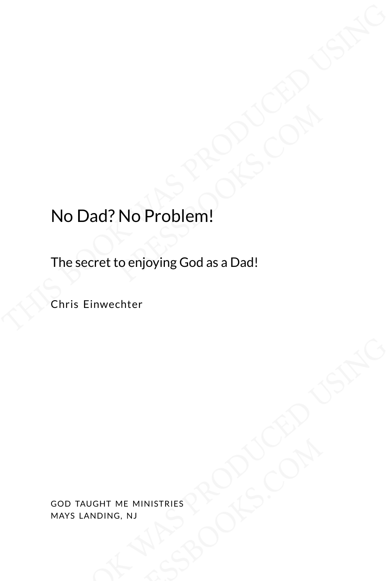The secret to enjoying God as a Dad!

Chris Einwechter

GOD TAUGHT ME MINISTRIES MAYS LANDING, NJ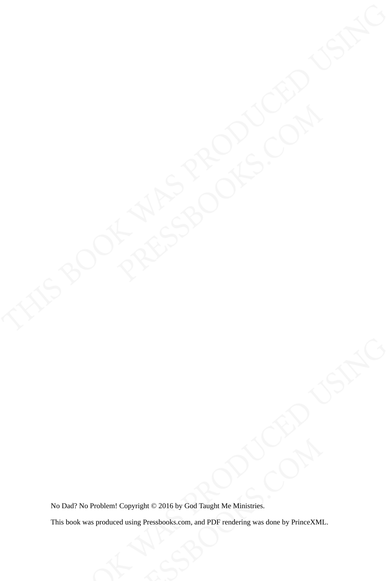No Dad? No Problem! Copyright © 2016 by God Taught Me Ministries.

This book was produced using Pressbooks.com, and PDF rendering was done by PrinceXML.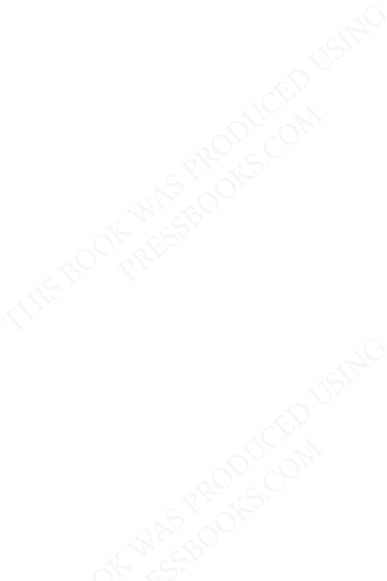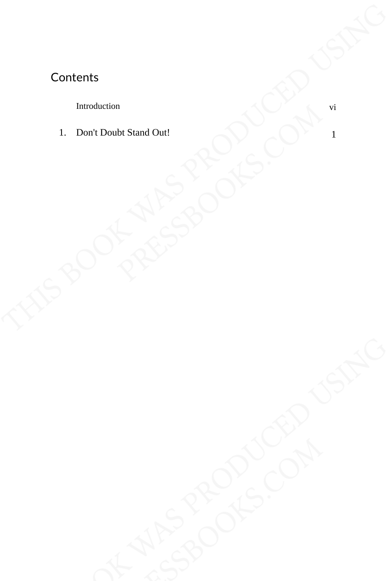## Contents

[Introduction](#page-5-0) [vi](#page-5-0)

[1.](#page-9-0) [Don't Doubt Stand Out!](#page-9-0)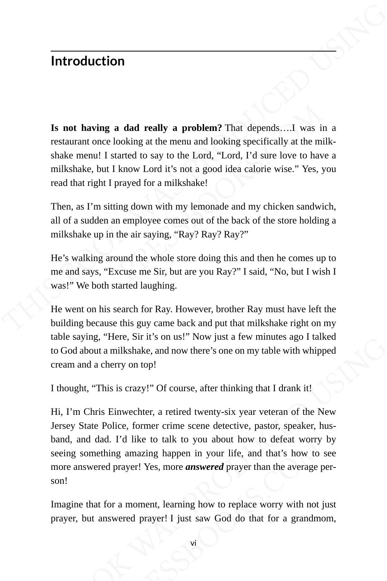### <span id="page-5-0"></span>**Introduction**

**Is not having a dad really a problem?** That depends….I was in a restaurant once looking at the menu and looking specifically at the milkshake menu! I started to say to the Lord, "Lord, I'd sure love to have a milkshake, but I know Lord it's not a good idea calorie wise." Yes, you read that right I prayed for a milkshake!

Then, as I'm sitting down with my lemonade and my chicken sandwich, all of a sudden an employee comes out of the back of the store holding a milkshake up in the air saying, "Ray? Ray? Ray?"

He's walking around the whole store doing this and then he comes up to me and says, "Excuse me Sir, but are you Ray?" I said, "No, but I wish I was!" We both started laughing.

He went on his search for Ray. However, brother Ray must have left the building because this guy came back and put that milkshake right on my table saying, "Here, Sir it's on us!" Now just a few minutes ago I talked to God about a milkshake, and now there's one on my table with whipped cream and a cherry on top!

I thought, "This is crazy!" Of course, after thinking that I drank it!

Hi, I'm Chris Einwechter, a retired twenty-six year veteran of the New Jersey State Police, former crime scene detective, pastor, speaker, husband, and dad. I'd like to talk to you about how to defeat worry by seeing something amazing happen in your life, and that's how to see more answered prayer! Yes, more *answered* prayer than the average person!

Imagine that for a moment, learning how to replace worry with not just prayer, but answered prayer! I just saw God do that for a grandmom,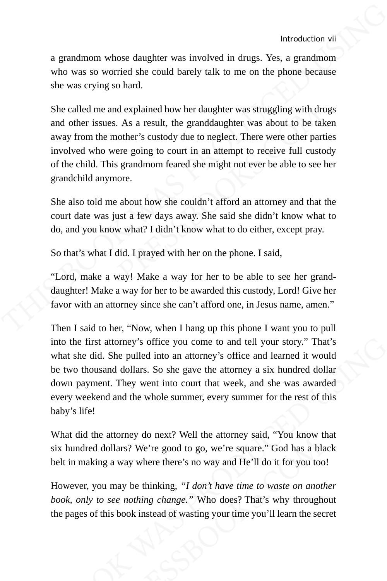#### Introduction vii

a grandmom whose daughter was involved in drugs. Yes, a grandmom who was so worried she could barely talk to me on the phone because she was crying so hard.

She called me and explained how her daughter was struggling with drugs and other issues. As a result, the granddaughter was about to be taken away from the mother's custody due to neglect. There were other parties involved who were going to court in an attempt to receive full custody of the child. This grandmom feared she might not ever be able to see her grandchild anymore.

She also told me about how she couldn't afford an attorney and that the court date was just a few days away. She said she didn't know what to do, and you know what? I didn't know what to do either, except pray.

So that's what I did. I prayed with her on the phone. I said,

"Lord, make a way! Make a way for her to be able to see her granddaughter! Make a way for her to be awarded this custody, Lord! Give her favor with an attorney since she can't afford one, in Jesus name, amen."

Then I said to her, "Now, when I hang up this phone I want you to pull into the first attorney's office you come to and tell your story." That's what she did. She pulled into an attorney's office and learned it would be two thousand dollars. So she gave the attorney a six hundred dollar down payment. They went into court that week, and she was awarded every weekend and the whole summer, every summer for the rest of this baby's life!

What did the attorney do next? Well the attorney said, "You know that six hundred dollars? We're good to go, we're square." God has a black belt in making a way where there's no way and He'll do it for you too!

However, you may be thinking, *"I don't have time to waste on another book, only to see nothing change."* Who does? That's why throughout the pages of this book instead of wasting your time you'll learn the secret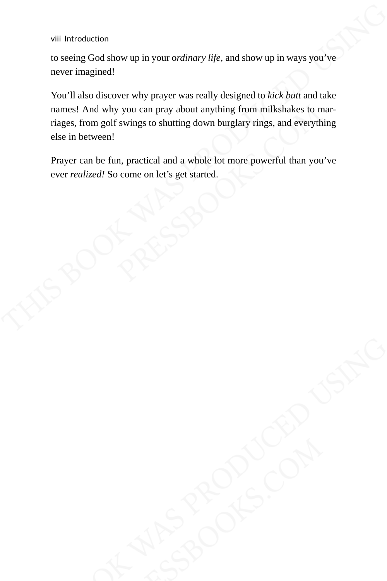viii Introduction

to seeing God show up in your o*rdinary life,* and show up in ways you've never imagined!

You'll also discover why prayer was really designed to *kick butt* and take names! And why you can pray about anything from milkshakes to marriages, from golf swings to shutting down burglary rings, and everything else in between!

Prayer can be fun, practical and a whole lot more powerful than you've ever *realized!* So come on let's get started.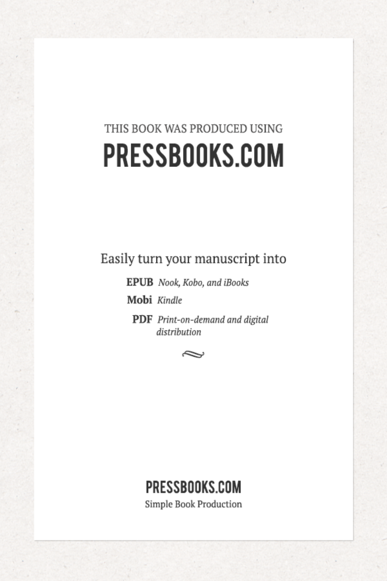# THIS BOOK WAS PRODUCED USING PRESSBOOKS.COM

## Easily turn your manuscript into

EPUB Nook, Kobo, and iBooks

Mobi Kindle

PDF Print-on-demand and digital distribution



## PRESSBOOKS.COM

Simple Book Production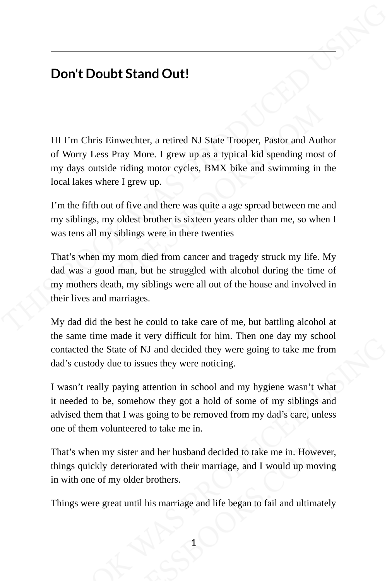### <span id="page-9-0"></span>**Don't Doubt Stand Out!**

HI I'm Chris Einwechter, a retired NJ State Trooper, Pastor and Author of Worry Less Pray More. I grew up as a typical kid spending most of my days outside riding motor cycles, BMX bike and swimming in the local lakes where I grew up.

I'm the fifth out of five and there was quite a age spread between me and my siblings, my oldest brother is sixteen years older than me, so when I was tens all my siblings were in there twenties

That's when my mom died from cancer and tragedy struck my life. My dad was a good man, but he struggled with alcohol during the time of my mothers death, my siblings were all out of the house and involved in their lives and marriages.

My dad did the best he could to take care of me, but battling alcohol at the same time made it very difficult for him. Then one day my school contacted the State of NJ and decided they were going to take me from dad's custody due to issues they were noticing.

I wasn't really paying attention in school and my hygiene wasn't what it needed to be, somehow they got a hold of some of my siblings and advised them that I was going to be removed from my dad's care, unless one of them volunteered to take me in.

That's when my sister and her husband decided to take me in. However, things quickly deteriorated with their marriage, and I would up moving in with one of my older brothers.

Things were great until his marriage and life began to fail and ultimately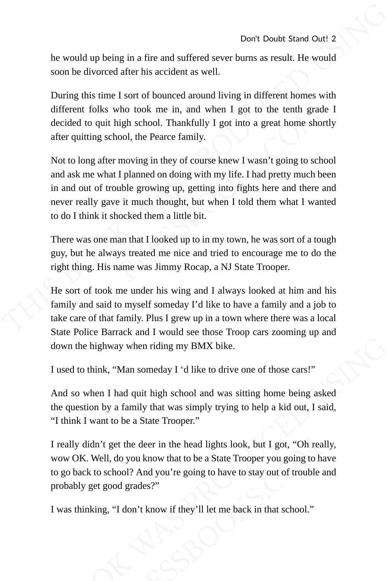he would up being in a fire and suffered sever burns as result. He would soon be divorced after his accident as well.

During this time I sort of bounced around living in different homes with different folks who took me in, and when I got to the tenth grade I decided to quit high school. Thankfully I got into a great home shortly after quitting school, the Pearce family.

Not to long after moving in they of course knew I wasn't going to school and ask me what I planned on doing with my life. I had pretty much been in and out of trouble growing up, getting into fights here and there and never really gave it much thought, but when I told them what I wanted to do I think it shocked them a little bit.

There was one man that I looked up to in my town, he was sort of a tough guy, but he always treated me nice and tried to encourage me to do the right thing. His name was Jimmy Rocap, a NJ State Trooper.

He sort of took me under his wing and I always looked at him and his family and said to myself someday I'd like to have a family and a job to take care of that family. Plus I grew up in a town where there was a local State Police Barrack and I would see those Troop cars zooming up and down the highway when riding my BMX bike.

I used to think, "Man someday I 'd like to drive one of those cars!"

And so when I had quit high school and was sitting home being asked the question by a family that was simply trying to help a kid out, I said, "I think I want to be a State Trooper."

I really didn't get the deer in the head lights look, but I got, "Oh really, wow OK. Well, do you know that to be a State Trooper you going to have to go back to school? And you're going to have to stay out of trouble and probably get good grades?"

I was thinking, "I don't know if they'll let me back in that school."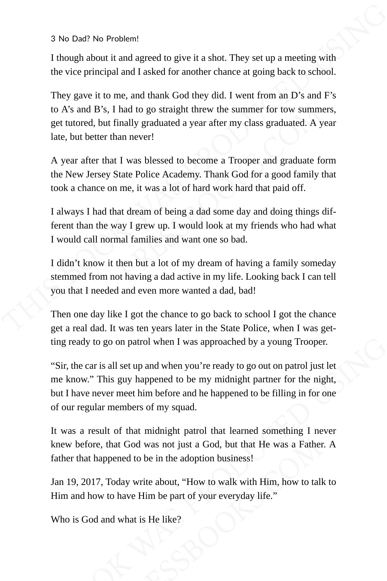I though about it and agreed to give it a shot. They set up a meeting with the vice principal and I asked for another chance at going back to school.

They gave it to me, and thank God they did. I went from an D's and F's to A's and B's, I had to go straight threw the summer for tow summers, get tutored, but finally graduated a year after my class graduated. A year late, but better than never!

A year after that I was blessed to become a Trooper and graduate form the New Jersey State Police Academy. Thank God for a good family that took a chance on me, it was a lot of hard work hard that paid off.

I always I had that dream of being a dad some day and doing things different than the way I grew up. I would look at my friends who had what I would call normal families and want one so bad.

I didn't know it then but a lot of my dream of having a family someday stemmed from not having a dad active in my life. Looking back I can tell you that I needed and even more wanted a dad, bad!

Then one day like I got the chance to go back to school I got the chance get a real dad. It was ten years later in the State Police, when I was getting ready to go on patrol when I was approached by a young Trooper.

"Sir, the car is all set up and when you're ready to go out on patrol just let me know." This guy happened to be my midnight partner for the night, but I have never meet him before and he happened to be filling in for one of our regular members of my squad.

It was a result of that midnight patrol that learned something I never knew before, that God was not just a God, but that He was a Father. A father that happened to be in the adoption business!

Jan 19, 2017, Today write about, "How to walk with Him, how to talk to Him and how to have Him be part of your everyday life."

Who is God and what is He like?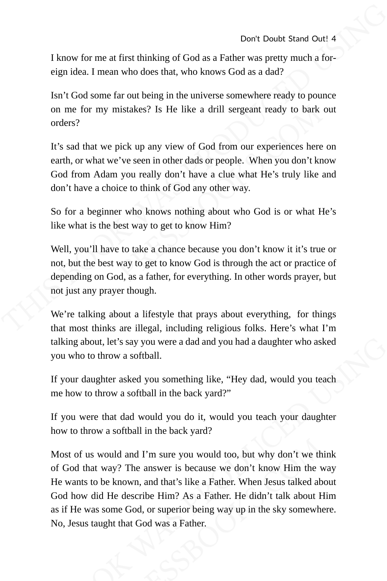I know for me at first thinking of God as a Father was pretty much a foreign idea. I mean who does that, who knows God as a dad?

Isn't God some far out being in the universe somewhere ready to pounce on me for my mistakes? Is He like a drill sergeant ready to bark out orders?

It's sad that we pick up any view of God from our experiences here on earth, or what we've seen in other dads or people. When you don't know God from Adam you really don't have a clue what He's truly like and don't have a choice to think of God any other way.

So for a beginner who knows nothing about who God is or what He's like what is the best way to get to know Him?

Well, you'll have to take a chance because you don't know it it's true or not, but the best way to get to know God is through the act or practice of depending on God, as a father, for everything. In other words prayer, but not just any prayer though.

We're talking about a lifestyle that prays about everything, for things that most thinks are illegal, including religious folks. Here's what I'm talking about, let's say you were a dad and you had a daughter who asked you who to throw a softball.

If your daughter asked you something like, "Hey dad, would you teach me how to throw a softball in the back yard?"

If you were that dad would you do it, would you teach your daughter how to throw a softball in the back yard?

Most of us would and I'm sure you would too, but why don't we think of God that way? The answer is because we don't know Him the way He wants to be known, and that's like a Father. When Jesus talked about God how did He describe Him? As a Father. He didn't talk about Him as if He was some God, or superior being way up in the sky somewhere. No, Jesus taught that God was a Father.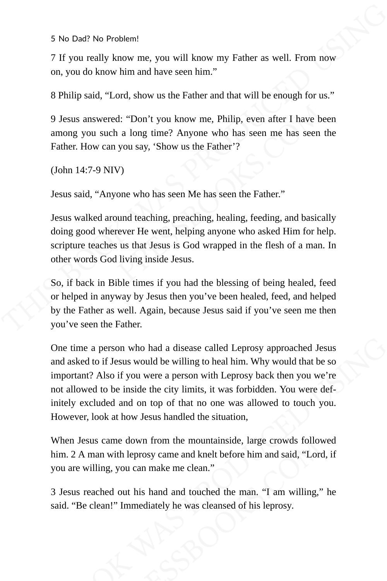7 If you really know me, you will know my Father as well. From now on, you do know him and have seen him."

8 Philip said, "Lord, show us the Father and that will be enough for us."

9 Jesus answered: "Don't you know me, Philip, even after I have been among you such a long time? Anyone who has seen me has seen the Father. How can you say, 'Show us the Father'?

(John 14:7-9 NIV)

Jesus said, "Anyone who has seen Me has seen the Father."

Jesus walked around teaching, preaching, healing, feeding, and basically doing good wherever He went, helping anyone who asked Him for help. scripture teaches us that Jesus is God wrapped in the flesh of a man. In other words God living inside Jesus.

So, if back in Bible times if you had the blessing of being healed, feed or helped in anyway by Jesus then you've been healed, feed, and helped by the Father as well. Again, because Jesus said if you've seen me then you've seen the Father.

One time a person who had a disease called Leprosy approached Jesus and asked to if Jesus would be willing to heal him. Why would that be so important? Also if you were a person with Leprosy back then you we're not allowed to be inside the city limits, it was forbidden. You were definitely excluded and on top of that no one was allowed to touch you. However, look at how Jesus handled the situation,

When Jesus came down from the mountainside, large crowds followed him. 2 A man with leprosy came and knelt before him and said, "Lord, if you are willing, you can make me clean."

3 Jesus reached out his hand and touched the man. "I am willing," he said. "Be clean!" Immediately he was cleansed of his leprosy.